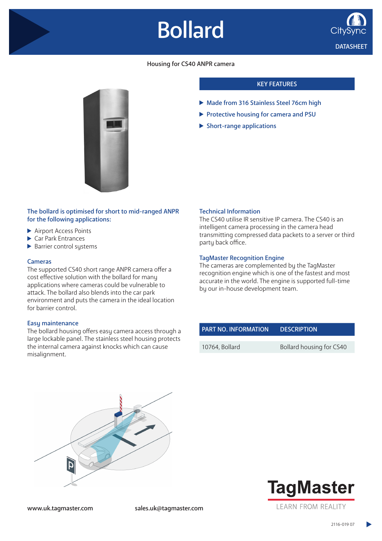# Bollard



### Housing for CS40 ANPR camera

## KEY FEATURES

- Made from 316 Stainless Steel 76cm high
- Protective housing for camera and PSU
- $\blacktriangleright$  Short-range applications

#### The bollard is optimised for short to mid-ranged ANPR for the following applications:

- ▶ Airport Access Points
- Car Park Entrances
- $\blacktriangleright$  Barrier control systems

#### Cameras

The supported CS40 short range ANPR camera offer a cost effective solution with the bollard for many applications where cameras could be vulnerable to attack. The bollard also blends into the car park environment and puts the camera in the ideal location for barrier control.

#### Easy maintenance

The bollard housing offers easy camera access through a large lockable panel. The stainless steel housing protects the internal camera against knocks which can cause misalignment.

#### Technical Information

The CS40 utilise IR sensitive IP camera. The CS40 is an intelligent camera processing in the camera head transmitting compressed data packets to a server or third party back office.

#### TagMaster Recognition Engine

The cameras are complemented by the TagMaster recognition engine which is one of the fastest and most accurate in the world. The engine is supported full-time by our in-house development team.

| <b>PART NO. INFORMATION</b> | <b>DESCRIPTION</b>       |
|-----------------------------|--------------------------|
|                             |                          |
| 10764, Bollard              | Bollard housing for CS40 |





www.uk.tagmaster.com sales.uk@tagmaster.com